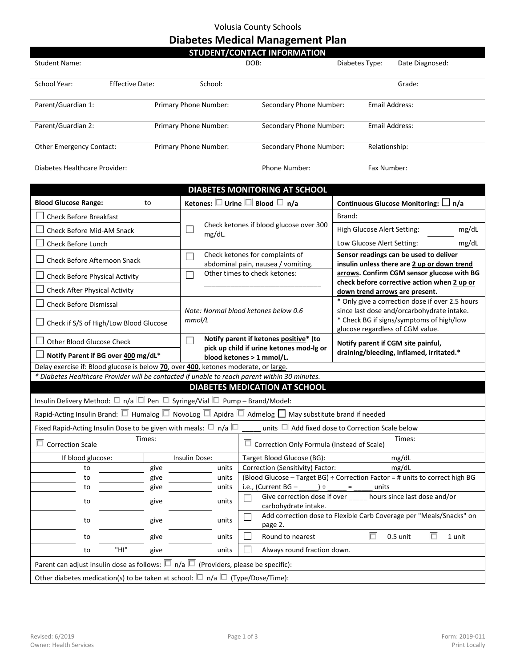## Volusia County Schools

## **Diabetes Medical Management Plan**

| <b>STUDENT/CONTACT INFORMATION</b> |                 |                       |                         |                       |                 |  |  |  |
|------------------------------------|-----------------|-----------------------|-------------------------|-----------------------|-----------------|--|--|--|
| <b>Student Name:</b>               |                 | DOB:                  |                         | Diabetes Type:        | Date Diagnosed: |  |  |  |
|                                    |                 |                       |                         |                       |                 |  |  |  |
| School Year:                       | Effective Date: | School:               |                         |                       | Grade:          |  |  |  |
|                                    |                 |                       |                         |                       |                 |  |  |  |
| Parent/Guardian 1:                 |                 | Primary Phone Number: | Secondary Phone Number: | Email Address:        |                 |  |  |  |
|                                    |                 |                       |                         |                       |                 |  |  |  |
| Parent/Guardian 2:                 |                 | Primary Phone Number: | Secondary Phone Number: | <b>Email Address:</b> |                 |  |  |  |
|                                    |                 |                       |                         |                       |                 |  |  |  |
| <b>Other Emergency Contact:</b>    |                 | Primary Phone Number: | Secondary Phone Number: | Relationship:         |                 |  |  |  |
|                                    |                 |                       |                         |                       |                 |  |  |  |
| Diabetes Healthcare Provider:      |                 |                       | <b>Phone Number:</b>    | Fax Number:           |                 |  |  |  |

| <b>DIABETES MONITORING AT SCHOOL</b>                                                                                         |                                                                                                                                    |                                                                                               |                                                                                                                            |  |  |  |  |  |  |
|------------------------------------------------------------------------------------------------------------------------------|------------------------------------------------------------------------------------------------------------------------------------|-----------------------------------------------------------------------------------------------|----------------------------------------------------------------------------------------------------------------------------|--|--|--|--|--|--|
| <b>Blood Glucose Range:</b><br>to                                                                                            | Ketones: $\square$ Urine $\square$ Blood $\square$ n/a                                                                             | Continuous Glucose Monitoring: $\Box$ n/a                                                     |                                                                                                                            |  |  |  |  |  |  |
| <b>Check Before Breakfast</b>                                                                                                |                                                                                                                                    |                                                                                               | Brand:                                                                                                                     |  |  |  |  |  |  |
| Check Before Mid-AM Snack                                                                                                    | $\overline{\phantom{0}}$<br>mg/dL.                                                                                                 | Check ketones if blood glucose over 300                                                       | High Glucose Alert Setting:<br>mg/dL                                                                                       |  |  |  |  |  |  |
| Check Before Lunch                                                                                                           |                                                                                                                                    |                                                                                               | mg/dL<br>Low Glucose Alert Setting:                                                                                        |  |  |  |  |  |  |
| <b>Check Before Afternoon Snack</b>                                                                                          |                                                                                                                                    | Check ketones for complaints of<br>abdominal pain, nausea / vomiting.                         | Sensor readings can be used to deliver<br>insulin unless there are 2 up or down trend                                      |  |  |  |  |  |  |
| Check Before Physical Activity                                                                                               |                                                                                                                                    | Other times to check ketones:                                                                 | arrows. Confirm CGM sensor glucose with BG<br>check before corrective action when 2 up or                                  |  |  |  |  |  |  |
| <b>Check After Physical Activity</b>                                                                                         |                                                                                                                                    |                                                                                               | down trend arrows are present.                                                                                             |  |  |  |  |  |  |
| <b>Check Before Dismissal</b>                                                                                                | Note: Normal blood ketones below 0.6                                                                                               |                                                                                               | * Only give a correction dose if over 2.5 hours                                                                            |  |  |  |  |  |  |
| Check if S/S of High/Low Blood Glucose                                                                                       | mmol/L                                                                                                                             |                                                                                               | since last dose and/orcarbohydrate intake.<br>* Check BG if signs/symptoms of high/low<br>glucose regardless of CGM value. |  |  |  |  |  |  |
| <b>Other Blood Glucose Check</b>                                                                                             | ┓                                                                                                                                  | Notify parent if ketones positive* (to<br>pick up child if urine ketones mod-lg or            | Notify parent if CGM site painful,<br>draining/bleeding, inflamed, irritated.*                                             |  |  |  |  |  |  |
| Notify Parent if BG over 400 mg/dL*                                                                                          |                                                                                                                                    | blood ketones > 1 mmol/L.                                                                     |                                                                                                                            |  |  |  |  |  |  |
|                                                                                                                              | Delay exercise if: Blood glucose is below 70, over 400, ketones moderate, or large.                                                |                                                                                               |                                                                                                                            |  |  |  |  |  |  |
|                                                                                                                              | * Diabetes Healthcare Provider will be contacted if unable to reach parent within 30 minutes.                                      |                                                                                               |                                                                                                                            |  |  |  |  |  |  |
| <b>DIABETES MEDICATION AT SCHOOL</b>                                                                                         |                                                                                                                                    |                                                                                               |                                                                                                                            |  |  |  |  |  |  |
| Insulin Delivery Method: $\square$ n/a $\square$ Pen $\square$ Syringe/Vial $\square$ Pump – Brand/Model:                    |                                                                                                                                    |                                                                                               |                                                                                                                            |  |  |  |  |  |  |
| Rapid-Acting Insulin Brand: $\Box$ Humalog $\Box$ NovoLog $\Box$ Apidra $\Box$ Admelog $\Box$ May substitute brand if needed |                                                                                                                                    |                                                                                               |                                                                                                                            |  |  |  |  |  |  |
|                                                                                                                              | units $\Box$ Add fixed dose to Correction Scale below<br>Fixed Rapid-Acting Insulin Dose to be given with meals: $\Box$ n/a $\Box$ |                                                                                               |                                                                                                                            |  |  |  |  |  |  |
| Times:<br>$\Box$ Correction Scale                                                                                            |                                                                                                                                    | $\Box$ Correction Only Formula (Instead of Scale)                                             | Times:                                                                                                                     |  |  |  |  |  |  |
| If blood glucose:                                                                                                            | Insulin Dose:                                                                                                                      | mg/dL<br>Target Blood Glucose (BG):                                                           |                                                                                                                            |  |  |  |  |  |  |
| give<br>to                                                                                                                   | units                                                                                                                              | Correction (Sensitivity) Factor:                                                              | mg/dL                                                                                                                      |  |  |  |  |  |  |
| give<br>to                                                                                                                   | units                                                                                                                              | (Blood Glucose - Target BG) ÷ Correction Factor = # units to correct high BG                  |                                                                                                                            |  |  |  |  |  |  |
| give<br>to                                                                                                                   | units                                                                                                                              | i.e., (Current $BG -$<br>$\rightarrow$<br>units<br>$=$                                        |                                                                                                                            |  |  |  |  |  |  |
| give<br>to                                                                                                                   | units                                                                                                                              | Give correction dose if over ______ hours since last dose and/or<br>П<br>carbohydrate intake. |                                                                                                                            |  |  |  |  |  |  |
| give<br>to                                                                                                                   | units                                                                                                                              | Add correction dose to Flexible Carb Coverage per "Meals/Snacks" on<br>▁<br>page 2.           |                                                                                                                            |  |  |  |  |  |  |
| give<br>to                                                                                                                   | $\Box$<br>$\Box$<br>Round to nearest<br>0.5 unit<br>1 unit<br>units                                                                |                                                                                               |                                                                                                                            |  |  |  |  |  |  |
| "HI"<br>to<br>give                                                                                                           | Always round fraction down.<br>units                                                                                               |                                                                                               |                                                                                                                            |  |  |  |  |  |  |
| Parent can adjust insulin dose as follows: $\square$ n/a $\square$ (Providers, please be specific):                          |                                                                                                                                    |                                                                                               |                                                                                                                            |  |  |  |  |  |  |
| Other diabetes medication(s) to be taken at school: $\Box$ n/a $\Box$ (Type/Dose/Time):                                      |                                                                                                                                    |                                                                                               |                                                                                                                            |  |  |  |  |  |  |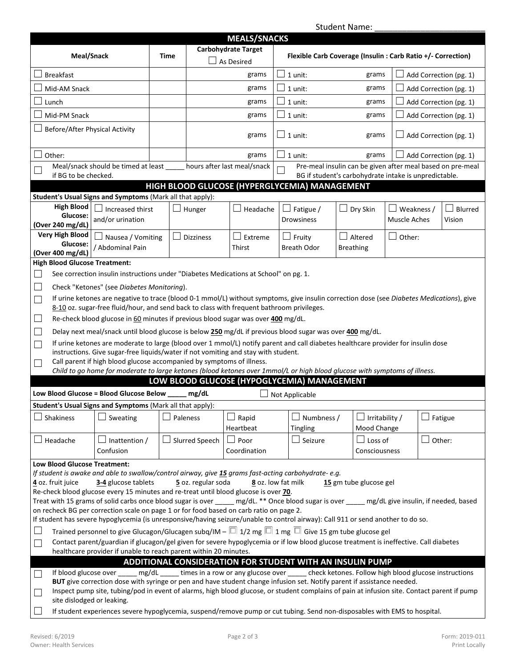Student Name: \_\_\_\_\_\_\_\_\_\_\_\_\_\_\_\_\_\_\_\_\_\_\_\_

|                                                                                                                                                                                                                                                                                   |                                                                                                                                                             |      |                                               |                                          |                                                              |                                     | Student Name:                         |                  |                        |                               |
|-----------------------------------------------------------------------------------------------------------------------------------------------------------------------------------------------------------------------------------------------------------------------------------|-------------------------------------------------------------------------------------------------------------------------------------------------------------|------|-----------------------------------------------|------------------------------------------|--------------------------------------------------------------|-------------------------------------|---------------------------------------|------------------|------------------------|-------------------------------|
|                                                                                                                                                                                                                                                                                   |                                                                                                                                                             |      |                                               | <b>MEALS/SNACKS</b>                      |                                                              |                                     |                                       |                  |                        |                               |
| Meal/Snack                                                                                                                                                                                                                                                                        |                                                                                                                                                             | Time |                                               | <b>Carbohydrate Target</b><br>As Desired | Flexible Carb Coverage (Insulin : Carb Ratio +/- Correction) |                                     |                                       |                  |                        |                               |
| <b>Breakfast</b>                                                                                                                                                                                                                                                                  |                                                                                                                                                             |      |                                               | grams                                    | 1 unit:                                                      |                                     | grams                                 |                  | Add Correction (pg. 1) |                               |
| Mid-AM Snack                                                                                                                                                                                                                                                                      |                                                                                                                                                             |      |                                               | grams                                    |                                                              | 1 unit:                             | grams                                 |                  |                        | Add Correction (pg. 1)        |
| Lunch                                                                                                                                                                                                                                                                             |                                                                                                                                                             |      |                                               | grams                                    |                                                              | 1 unit:                             | grams                                 |                  |                        | Add Correction (pg. 1)        |
| Mid-PM Snack                                                                                                                                                                                                                                                                      |                                                                                                                                                             |      |                                               | grams                                    |                                                              | 1 unit:                             | grams                                 |                  |                        | Add Correction (pg. 1)        |
| Before/After Physical Activity                                                                                                                                                                                                                                                    |                                                                                                                                                             |      |                                               | grams                                    |                                                              | $\Box$ 1 unit:                      | grams                                 |                  |                        | $\Box$ Add Correction (pg. 1) |
| Other:                                                                                                                                                                                                                                                                            |                                                                                                                                                             |      |                                               | grams                                    |                                                              | $\perp$ 1 unit:                     | grams                                 |                  |                        | Add Correction (pg. 1)        |
| Pre-meal insulin can be given after meal based on pre-meal<br>Meal/snack should be timed at least<br>hours after last meal/snack<br>if BG to be checked.<br>BG if student's carbohydrate intake is unpredictable.                                                                 |                                                                                                                                                             |      |                                               |                                          |                                                              |                                     |                                       |                  |                        |                               |
|                                                                                                                                                                                                                                                                                   |                                                                                                                                                             |      | HIGH BLOOD GLUCOSE (HYPERGLYCEMIA) MANAGEMENT |                                          |                                                              |                                     |                                       |                  |                        |                               |
| Student's Usual Signs and Symptoms (Mark all that apply):                                                                                                                                                                                                                         |                                                                                                                                                             |      |                                               |                                          |                                                              |                                     |                                       |                  |                        |                               |
| <b>High Blood</b><br>Glucose:<br>(Over 240 mg/dL)                                                                                                                                                                                                                                 | Increased thirst<br>and/or urination                                                                                                                        |      | Hunger                                        | Headache                                 |                                                              | $\Box$ Fatigue /<br>Drowsiness      | ப<br>Dry Skin                         | Muscle Aches     | Weakness /             | Blurred<br>Vision             |
| <b>Very High Blood</b><br>Glucose:<br>(Over 400 mg/dL)                                                                                                                                                                                                                            | Nausea / Vomiting<br>/ Abdominal Pain                                                                                                                       |      | <b>Dizziness</b>                              | Extreme<br>$\Box$<br>Thirst              |                                                              | $\Box$ Fruity<br><b>Breath Odor</b> | $\Box$<br>Altered<br><b>Breathing</b> | $\Box$<br>Other: |                        |                               |
| <b>High Blood Glucose Treatment:</b>                                                                                                                                                                                                                                              |                                                                                                                                                             |      |                                               |                                          |                                                              |                                     |                                       |                  |                        |                               |
| $\mathcal{L}$                                                                                                                                                                                                                                                                     | See correction insulin instructions under "Diabetes Medications at School" on pg. 1.                                                                        |      |                                               |                                          |                                                              |                                     |                                       |                  |                        |                               |
|                                                                                                                                                                                                                                                                                   | Check "Ketones" (see Diabetes Monitoring).                                                                                                                  |      |                                               |                                          |                                                              |                                     |                                       |                  |                        |                               |
| If urine ketones are negative to trace (blood 0-1 mmol/L) without symptoms, give insulin correction dose (see Diabetes Medications), give<br>$\Box$<br>8-10 oz. sugar-free fluid/hour, and send back to class with frequent bathroom privileges.                                  |                                                                                                                                                             |      |                                               |                                          |                                                              |                                     |                                       |                  |                        |                               |
| $\overline{\phantom{a}}$                                                                                                                                                                                                                                                          | Re-check blood glucose in 60 minutes if previous blood sugar was over 400 mg/dL.                                                                            |      |                                               |                                          |                                                              |                                     |                                       |                  |                        |                               |
| $\overline{\phantom{a}}$                                                                                                                                                                                                                                                          | Delay next meal/snack until blood glucose is below 250 mg/dL if previous blood sugar was over 400 mg/dL.                                                    |      |                                               |                                          |                                                              |                                     |                                       |                  |                        |                               |
| $\mathcal{L}$                                                                                                                                                                                                                                                                     | If urine ketones are moderate to large (blood over 1 mmol/L) notify parent and call diabetes healthcare provider for insulin dose                           |      |                                               |                                          |                                                              |                                     |                                       |                  |                        |                               |
|                                                                                                                                                                                                                                                                                   | instructions. Give sugar-free liquids/water if not vomiting and stay with student.<br>Call parent if high blood glucose accompanied by symptoms of illness. |      |                                               |                                          |                                                              |                                     |                                       |                  |                        |                               |
| - 1                                                                                                                                                                                                                                                                               | Child to go home for moderate to large ketones (blood ketones over 1mmol/L or high blood glucose with symptoms of illness.                                  |      |                                               |                                          |                                                              |                                     |                                       |                  |                        |                               |
|                                                                                                                                                                                                                                                                                   |                                                                                                                                                             |      | LOW BLOOD GLUCOSE (HYPOGLYCEMIA) MANAGEMENT   |                                          |                                                              |                                     |                                       |                  |                        |                               |
| Low Blood Glucose = Blood Glucose Below                                                                                                                                                                                                                                           |                                                                                                                                                             |      | mg/dL                                         |                                          |                                                              | Not Applicable                      |                                       |                  |                        |                               |
| Student's Usual Signs and Symptoms (Mark all that apply):                                                                                                                                                                                                                         |                                                                                                                                                             |      |                                               |                                          |                                                              |                                     |                                       |                  |                        |                               |
| Shakiness                                                                                                                                                                                                                                                                         | $\Box$<br>Sweating                                                                                                                                          |      | Paleness<br>$\Box$ Rapid<br>Heartbeat         |                                          |                                                              | Numbness /                          | Irritability /                        |                  |                        | Fatigue                       |
| $\Box$ Headache                                                                                                                                                                                                                                                                   | Inattention /                                                                                                                                               |      | $\Box$ Slurred Speech                         | $\Box$ Poor                              | Tingling<br>Mood Change<br>Seizure<br>Loss of                |                                     |                                       | Other:           |                        |                               |
|                                                                                                                                                                                                                                                                                   | Confusion                                                                                                                                                   |      |                                               | Coordination                             | Consciousness                                                |                                     |                                       |                  |                        |                               |
| <b>Low Blood Glucose Treatment:</b>                                                                                                                                                                                                                                               |                                                                                                                                                             |      |                                               |                                          |                                                              |                                     |                                       |                  |                        |                               |
|                                                                                                                                                                                                                                                                                   |                                                                                                                                                             |      |                                               |                                          |                                                              |                                     |                                       |                  |                        |                               |
| If student is awake and able to swallow/control airway, give 15 grams fast-acting carbohydrate-e.g.<br>5 oz. regular soda<br>4 oz. fruit juice<br>3-4 glucose tablets<br>8 oz. low fat milk<br>15 gm tube glucose gel                                                             |                                                                                                                                                             |      |                                               |                                          |                                                              |                                     |                                       |                  |                        |                               |
| Re-check blood glucose every 15 minutes and re-treat until blood glucose is over 70.                                                                                                                                                                                              |                                                                                                                                                             |      |                                               |                                          |                                                              |                                     |                                       |                  |                        |                               |
| Treat with 15 grams of solid carbs once blood sugar is over ____ mg/dL. ** Once blood sugar is over ____ mg/dL give insulin, if needed, based                                                                                                                                     |                                                                                                                                                             |      |                                               |                                          |                                                              |                                     |                                       |                  |                        |                               |
| on recheck BG per correction scale on page 1 or for food based on carb ratio on page 2.<br>If student has severe hypoglycemia (is unresponsive/having seizure/unable to control airway): Call 911 or send another to do so.                                                       |                                                                                                                                                             |      |                                               |                                          |                                                              |                                     |                                       |                  |                        |                               |
| Trained personnel to give Glucagon/Glucagen subq/IM – $\Box$ 1/2 mg $\Box$ 1 mg $\Box$ Give 15 gm tube glucose gel<br>$\mathcal{L}$                                                                                                                                               |                                                                                                                                                             |      |                                               |                                          |                                                              |                                     |                                       |                  |                        |                               |
| Contact parent/guardian if glucagon/gel given for severe hypoglycemia or if low blood glucose treatment is ineffective. Call diabetes<br>$\mathcal{L}$                                                                                                                            |                                                                                                                                                             |      |                                               |                                          |                                                              |                                     |                                       |                  |                        |                               |
| healthcare provider if unable to reach parent within 20 minutes.                                                                                                                                                                                                                  |                                                                                                                                                             |      |                                               |                                          |                                                              |                                     |                                       |                  |                        |                               |
| ADDITIONAL CONSIDERATION FOR STUDENT WITH AN INSULIN PUMP                                                                                                                                                                                                                         |                                                                                                                                                             |      |                                               |                                          |                                                              |                                     |                                       |                  |                        |                               |
| If blood glucose over _____ mg/dL _____ times in a row or any glucose over _____ check ketones. Follow high blood glucose instructions<br>$\mathcal{L}$<br>BUT give correction dose with syringe or pen and have student change infusion set. Notify parent if assistance needed. |                                                                                                                                                             |      |                                               |                                          |                                                              |                                     |                                       |                  |                        |                               |
| $\mathcal{L}$<br>site dislodged or leaking.                                                                                                                                                                                                                                       | Inspect pump site, tubing/pod in event of alarms, high blood glucose, or student complains of pain at infusion site. Contact parent if pump                 |      |                                               |                                          |                                                              |                                     |                                       |                  |                        |                               |
| If student experiences severe hypoglycemia, suspend/remove pump or cut tubing. Send non-disposables with EMS to hospital.                                                                                                                                                         |                                                                                                                                                             |      |                                               |                                          |                                                              |                                     |                                       |                  |                        |                               |